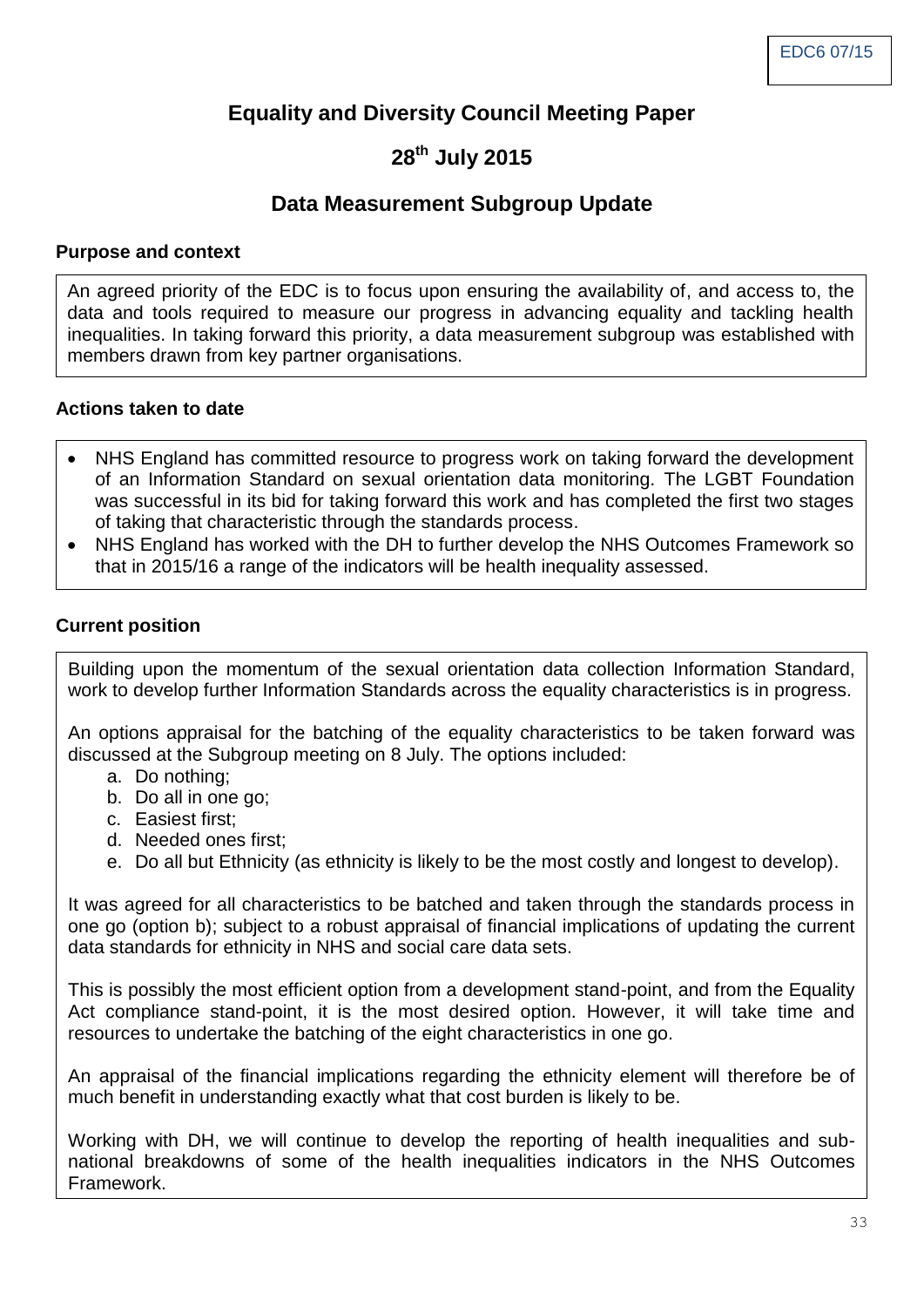# **Equality and Diversity Council Meeting Paper**

# **28th July 2015**

## **Data Measurement Subgroup Update**

#### **Purpose and context**

An agreed priority of the EDC is to focus upon ensuring the availability of, and access to, the data and tools required to measure our progress in advancing equality and tackling health inequalities. In taking forward this priority, a data measurement subgroup was established with members drawn from key partner organisations.

#### **Actions taken to date**

- NHS England has committed resource to progress work on taking forward the development of an Information Standard on sexual orientation data monitoring. The LGBT Foundation was successful in its bid for taking forward this work and has completed the first two stages of taking that characteristic through the standards process.
- NHS England has worked with the DH to further develop the NHS Outcomes Framework so that in 2015/16 a range of the indicators will be health inequality assessed.

#### **Current position**

Building upon the momentum of the sexual orientation data collection Information Standard, work to develop further Information Standards across the equality characteristics is in progress.

An options appraisal for the batching of the equality characteristics to be taken forward was discussed at the Subgroup meeting on 8 July. The options included:

- a. Do nothing;
- b. Do all in one go;
- c. Easiest first;
- d. Needed ones first;
- e. Do all but Ethnicity (as ethnicity is likely to be the most costly and longest to develop).

It was agreed for all characteristics to be batched and taken through the standards process in one go (option b); subject to a robust appraisal of financial implications of updating the current data standards for ethnicity in NHS and social care data sets.

This is possibly the most efficient option from a development stand-point, and from the Equality Act compliance stand-point, it is the most desired option. However, it will take time and resources to undertake the batching of the eight characteristics in one go.

An appraisal of the financial implications regarding the ethnicity element will therefore be of much benefit in understanding exactly what that cost burden is likely to be.

Working with DH, we will continue to develop the reporting of health inequalities and subnational breakdowns of some of the health inequalities indicators in the NHS Outcomes Framework.